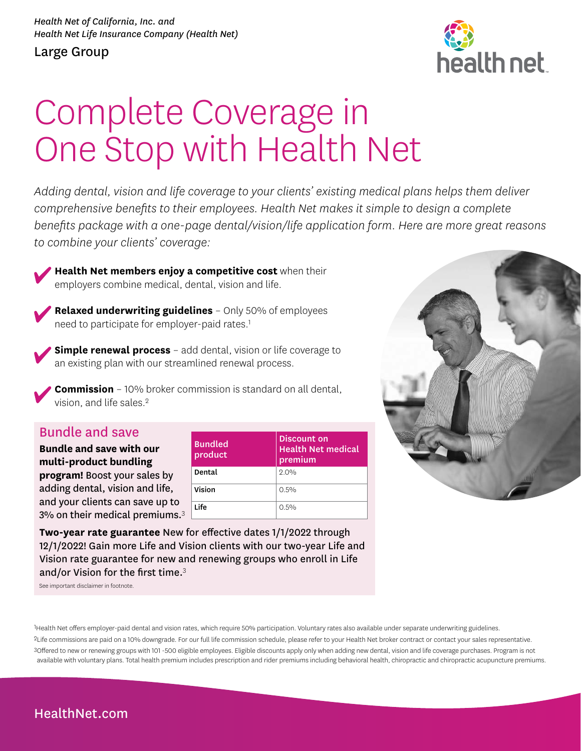#### Large Group



# Complete Coverage in One Stop with Health Net

*Adding dental, vision and life coverage to your clients' existing medical plans helps them deliver comprehensive benefits to their employees. Health Net makes it simple to design a complete benefits package with a one-page dental/vision/life application form. Here are more great reasons to combine your clients' coverage:* 

**Health Net members enjoy a competitive cost** when their employers combine medical, dental, vision and life.



**Relaxed underwriting guidelines** – Only 50% of employees need to participate for employer-paid rates.<sup>1</sup>

**Simple renewal process** - add dental, vision or life coverage to an existing plan with our streamlined renewal process.

**Commission** – 10% broker commission is standard on all dental, vision, and life sales.<sup>2</sup>

#### Bundle and save

**Bundle and save with our multi-product bundling program!** Boost your sales by adding dental, vision and life, and your clients can save up to 3% on their medical premiums. $3$ 

| <b>Bundled</b><br>product | Discount on<br><b>Health Net medical</b><br>premium |  |
|---------------------------|-----------------------------------------------------|--|
| Dental                    | 2.0%                                                |  |
| Vision                    | 0.5%                                                |  |
| I ife                     | $0.5\%$                                             |  |

**Two-year rate guarantee** New for effective dates 1/1/2022 through 12/1/2022! Gain more Life and Vision clients with our two-year Life and Vision rate guarantee for new and renewing groups who enroll in Life and/or Vision for the first time.<sup>3</sup>

See important disclaimer in footnote.





### [HealthNet.com](http://HealthNet.com)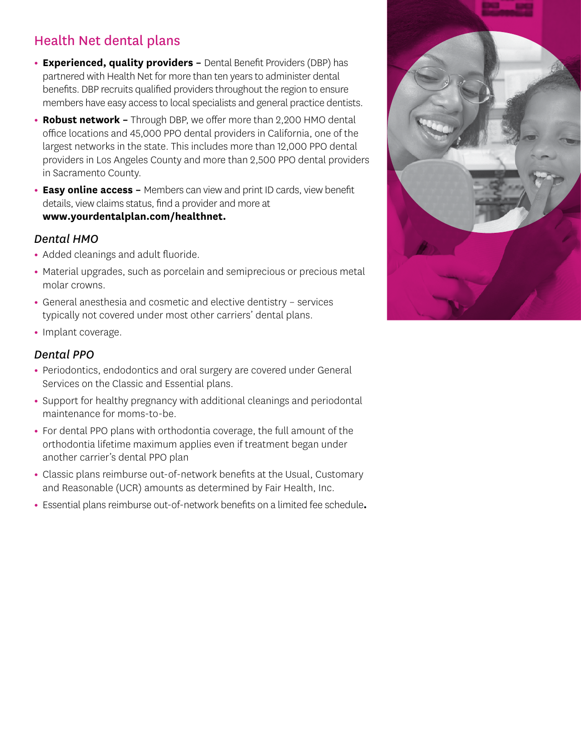# Health Net dental plans

- **Experienced, quality providers -** Dental Benefit Providers (DBP) has partnered with Health Net for more than ten years to administer dental benefits. DBP recruits qualified providers throughout the region to ensure members have easy access to local specialists and general practice dentists.
- **Robust network** Through DBP, we offer more than 2,200 HMO dental office locations and 45,000 PPO dental providers in California, one of the largest networks in the state. This includes more than 12,000 PPO dental providers in Los Angeles County and more than 2,500 PPO dental providers in Sacramento County.
- **Easy online access** Members can view and print ID cards, view benefit details, view claims status, find a provider and more at **[www.yourdentalplan.com/healthnet.](http://www.yourdentalplan.com/healthnet)**

#### *Dental HMO*

- Added cleanings and adult fluoride.
- Material upgrades, such as porcelain and semiprecious or precious metal molar crowns.
- General anesthesia and cosmetic and elective dentistry services typically not covered under most other carriers' dental plans.
- Implant coverage.

#### *Dental PPO*

- Periodontics, endodontics and oral surgery are covered under General Services on the Classic and Essential plans.
- Support for healthy pregnancy with additional cleanings and periodontal maintenance for moms-to-be.
- For dental PPO plans with orthodontia coverage, the full amount of the orthodontia lifetime maximum applies even if treatment began under another carrier's dental PPO plan
- Classic plans reimburse out-of-network benefits at the Usual, Customary and Reasonable (UCR) amounts as determined by Fair Health, Inc.
- Essential plans reimburse out-of-network benefits on a limited fee schedule**.**

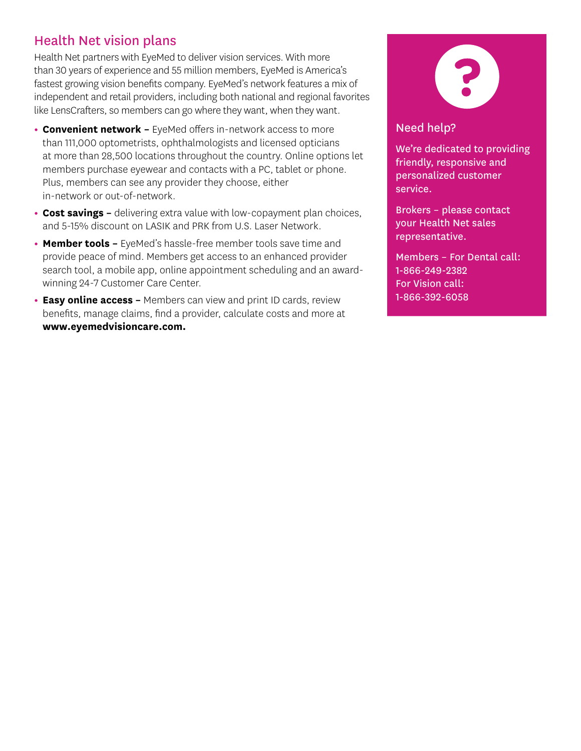## Health Net vision plans

Health Net partners with EyeMed to deliver vision services. With more than 30 years of experience and 55 million members, EyeMed is America's fastest growing vision benefits company. EyeMed's network features a mix of independent and retail providers, including both national and regional favorites like LensCrafters, so members can go where they want, when they want.

- **Convenient network** EyeMed offers in-network access to more than 111,000 optometrists, ophthalmologists and licensed opticians at more than 28,500 locations throughout the country. Online options let members purchase eyewear and contacts with a PC, tablet or phone. Plus, members can see any provider they choose, either in-network or out-of-network.
- **Cost savings –** delivering extra value with low-copayment plan choices, and 5-15% discount on LASIK and PRK from U.S. Laser Network.
- **Member tools –** EyeMed's hassle-free member tools save time and provide peace of mind. Members get access to an enhanced provider search tool, a mobile app, online appointment scheduling and an awardwinning 24-7 Customer Care Center.
- **Easy online access –** Members can view and print ID cards, review benefits, manage claims, find a provider, calculate costs and more at **www.eyemedvisioncare.com.**



#### Need help?

We're dedicated to providing friendly, responsive and personalized customer service.

Brokers – please contact your Health Net sales representative.

Members – For Dental call: 1-866-249-2382 For Vision call: 1-866-392-6058